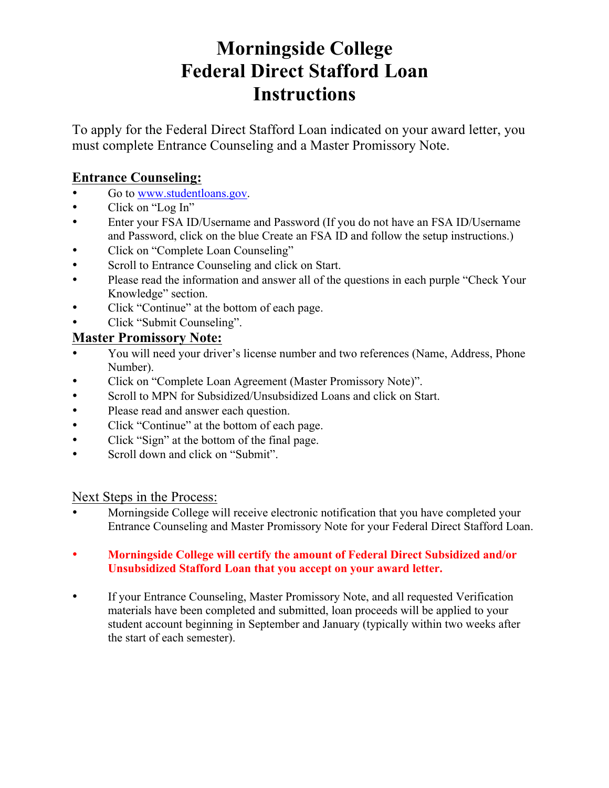# **Morningside College Federal Direct Stafford Loan Instructions**

To apply for the Federal Direct Stafford Loan indicated on your award letter, you must complete Entrance Counseling and a Master Promissory Note.

### **Entrance Counseling:**

- Go to www.studentloans.gov.
- Click on "Log In"
- Enter your FSA ID/Username and Password (If you do not have an FSA ID/Username and Password, click on the blue Create an FSA ID and follow the setup instructions.)
- Click on "Complete Loan Counseling"
- Scroll to Entrance Counseling and click on Start.
- Please read the information and answer all of the questions in each purple "Check Your" Knowledge" section.
- Click "Continue" at the bottom of each page.
- Click "Submit Counseling".

### **Master Promissory Note:**

- You will need your driver's license number and two references (Name, Address, Phone Number).
- Click on "Complete Loan Agreement (Master Promissory Note)".
- Scroll to MPN for Subsidized/Unsubsidized Loans and click on Start.
- Please read and answer each question.
- Click "Continue" at the bottom of each page.
- Click "Sign" at the bottom of the final page.
- Scroll down and click on "Submit".

#### Next Steps in the Process:

- Morningside College will receive electronic notification that you have completed your Entrance Counseling and Master Promissory Note for your Federal Direct Stafford Loan.
- **Morningside College will certify the amount of Federal Direct Subsidized and/or Unsubsidized Stafford Loan that you accept on your award letter.**
- If your Entrance Counseling, Master Promissory Note, and all requested Verification materials have been completed and submitted, loan proceeds will be applied to your student account beginning in September and January (typically within two weeks after the start of each semester).